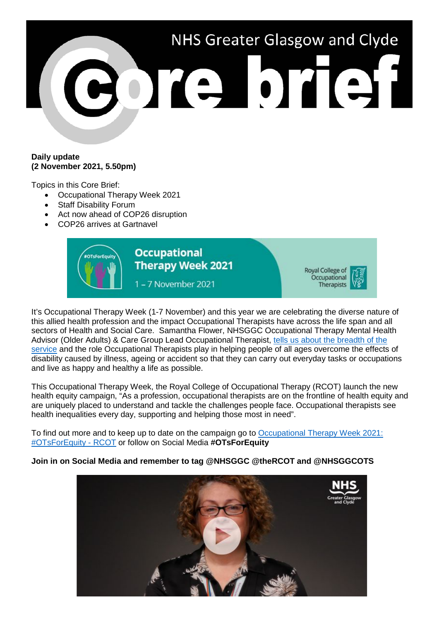

## **Daily update (2 November 2021, 5.50pm)**

Topics in this Core Brief:

- Occupational Therapy Week 2021
- Staff Disability Forum
- Act now ahead of COP26 disruption
- COP26 arrives at Gartnavel



It's Occupational Therapy Week (1-7 November) and this year we are celebrating the diverse nature of this allied health profession and the impact Occupational Therapists have across the life span and all sectors of Health and Social Care. Samantha Flower, NHSGGC Occupational Therapy Mental Health Advisor (Older Adults) & Care Group Lead Occupational Therapist, [tells us about the breadth of the](https://youtu.be/B5Kxh-0Ghe8)  [service](https://youtu.be/B5Kxh-0Ghe8) and the role Occupational Therapists play in helping people of all ages overcome the effects of disability caused by illness, ageing or accident so that they can carry out everyday tasks or occupations and live as happy and healthy a life as possible.

This Occupational Therapy Week, the Royal College of Occupational Therapy (RCOT) launch the new health equity campaign, "As a profession, occupational therapists are on the frontline of health equity and are uniquely placed to understand and tackle the challenges people face. Occupational therapists see health inequalities every day, supporting and helping those most in need".

To find out more and to keep up to date on the campaign go to [Occupational Therapy Week 2021:](https://www.rcot.co.uk/occupational-therapy-week-2021-otsforequity)  [#OTsForEquity -](https://www.rcot.co.uk/occupational-therapy-week-2021-otsforequity) RCOT or follow on Social Media **#OTsForEquity**

# **Join in on Social Media and remember to tag @NHSGGC @theRCOT and @NHSGGCOTS**

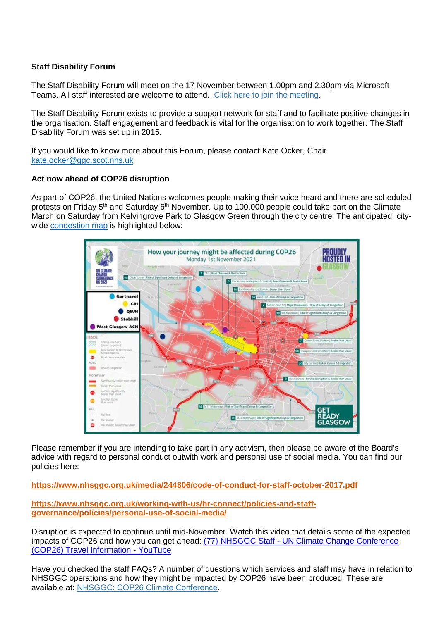## **Staff Disability Forum**

The Staff Disability Forum will meet on the 17 November between 1.00pm and 2.30pm via Microsoft Teams. All staff interested are welcome to attend. [Click here to join the meeting.](https://teams.microsoft.com/l/meetup-join/19%3ameeting_YTUxZWMwM2UtYjBmYS00YmUzLWJlMzctNmVhOTIxMDBmMDE1%40thread.v2/0?context=%7b%22Tid%22%3a%2210efe0bd-a030-4bca-809c-b5e6745e499a%22%2c%22Oid%22%3a%22e7a90d69-b872-48aa-90b3-8a9ffbced31e%22%7d)

The Staff Disability Forum exists to provide a support network for staff and to facilitate positive changes in the organisation. Staff engagement and feedback is vital for the organisation to work together. The Staff Disability Forum was set up in 2015.

If you would like to know more about this Forum, please contact Kate Ocker, Chair [kate.ocker@ggc.scot.nhs.uk](mailto:kate.ocker@ggc.scot.nhs.uk)

## **Act now ahead of COP26 disruption**

As part of COP26, the United Nations welcomes people making their voice heard and there are scheduled protests on Friday 5<sup>th</sup> and Saturday 6<sup>th</sup> November. Up to 100,000 people could take part on the Climate March on Saturday from Kelvingrove Park to Glasgow Green through the city centre. The anticipated, citywide [congestion map](https://www.nhsggc.org.uk/about-us/cop26-conference/staff-information/) is highlighted below:



Please remember if you are intending to take part in any activism, then please be aware of the Board's advice with regard to personal conduct outwith work and personal use of social media. You can find our policies here:

**<https://www.nhsggc.org.uk/media/244806/code-of-conduct-for-staff-october-2017.pdf>**

**[https://www.nhsggc.org.uk/working-with-us/hr-connect/policies-and-staff](https://www.nhsggc.org.uk/working-with-us/hr-connect/policies-and-staff-governance/policies/personal-use-of-social-media/)[governance/policies/personal-use-of-social-media/](https://www.nhsggc.org.uk/working-with-us/hr-connect/policies-and-staff-governance/policies/personal-use-of-social-media/)**

Disruption is expected to continue until mid-November. Watch this video that details some of the expected impacts of COP26 and how you can get ahead: (77) NHSGGC Staff - [UN Climate Change Conference](https://www.youtube.com/watch?v=XshPABt9qlE&t=4s)  [\(COP26\) Travel Information -](https://www.youtube.com/watch?v=XshPABt9qlE&t=4s) YouTube

Have you checked the staff FAQs? A number of questions which services and staff may have in relation to NHSGGC operations and how they might be impacted by COP26 have been produced. These are available at: [NHSGGC: COP26 Climate Conference.](https://www.nhsggc.org.uk/about-us/cop26-conference/staff-information/)